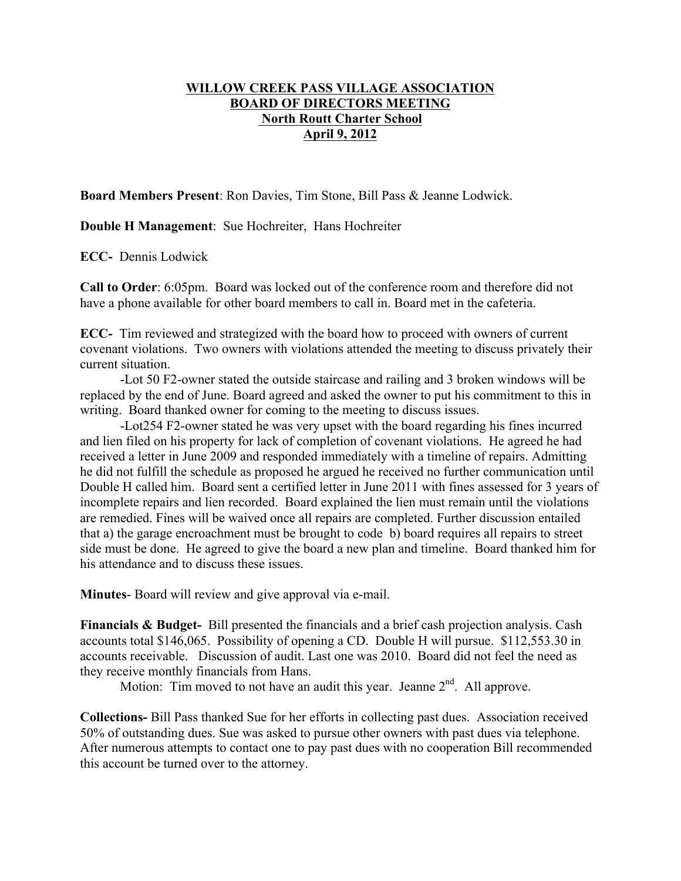## **WILLOW CREEK PASS VILLAGE ASSOCIATION BOARD OF DIRECTORS MEETING North Routt Charter School April 9, 2012**

**Board Members Present**: Ron Davies, Tim Stone, Bill Pass & Jeanne Lodwick.

**Double H Management**: Sue Hochreiter, Hans Hochreiter

**ECC-** Dennis Lodwick

**Call to Order**: 6:05pm. Board was locked out of the conference room and therefore did not have a phone available for other board members to call in. Board met in the cafeteria.

**ECC-** Tim reviewed and strategized with the board how to proceed with owners of current covenant violations. Two owners with violations attended the meeting to discuss privately their current situation.

-Lot 50 F2-owner stated the outside staircase and railing and 3 broken windows will be replaced by the end of June. Board agreed and asked the owner to put his commitment to this in writing. Board thanked owner for coming to the meeting to discuss issues.

-Lot254 F2-owner stated he was very upset with the board regarding his fines incurred and lien filed on his property for lack of completion of covenant violations. He agreed he had received a letter in June 2009 and responded immediately with a timeline of repairs. Admitting he did not fulfill the schedule as proposed he argued he received no further communication until Double H called him. Board sent a certified letter in June 2011 with fines assessed for 3 years of incomplete repairs and lien recorded. Board explained the lien must remain until the violations are remedied. Fines will be waived once all repairs are completed. Further discussion entailed that a) the garage encroachment must be brought to code b) board requires all repairs to street side must be done. He agreed to give the board a new plan and timeline. Board thanked him for his attendance and to discuss these issues.

**Minutes**- Board will review and give approval via e-mail.

**Financials & Budget-** Bill presented the financials and a brief cash projection analysis. Cash accounts total \$146,065. Possibility of opening a CD. Double H will pursue. \$112,553.30 in accounts receivable. Discussion of audit. Last one was 2010. Board did not feel the need as they receive monthly financials from Hans.

Motion: Tim moved to not have an audit this year. Jeanne  $2<sup>nd</sup>$ . All approve.

**Collections-** Bill Pass thanked Sue for her efforts in collecting past dues. Association received 50% of outstanding dues. Sue was asked to pursue other owners with past dues via telephone. After numerous attempts to contact one to pay past dues with no cooperation Bill recommended this account be turned over to the attorney.